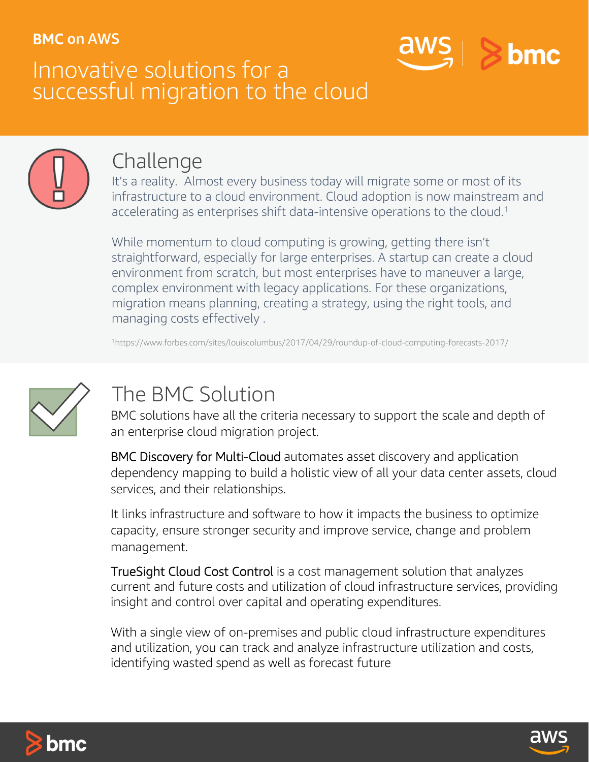### BMC on AWS

## Innovative solutions for a successful migration to the cloud





## Challenge

It's a reality. Almost every business today will migrate some or most of its infrastructure to a cloud environment. Cloud adoption is now mainstream and accelerating as enterprises shift data-intensive operations to the cloud.<sup>1</sup>

While momentum to cloud computing is growing, getting there isn't straightforward, especially for large enterprises. A startup can create a cloud environment from scratch, but most enterprises have to maneuver a large, complex environment with legacy applications. For these organizations, migration means planning, creating a strategy, using the right tools, and managing costs effectively .

1https://www.forbes.com/sites/louiscolumbus/2017/04/29/roundup-of-cloud-computing-forecasts-2017/



## The BMC Solution

BMC solutions have all the criteria necessary to support the scale and depth of an enterprise cloud migration project.

BMC Discovery for Multi-Cloud automates asset discovery and application dependency mapping to build a holistic view of all your data center assets, cloud services, and their relationships.

It links infrastructure and software to how it impacts the business to optimize capacity, ensure stronger security and improve service, change and problem management.

TrueSight Cloud Cost Control is a cost management solution that analyzes current and future costs and utilization of cloud infrastructure services, providing insight and control over capital and operating expenditures.

With a single view of on-premises and public cloud infrastructure expenditures and utilization, you can track and analyze infrastructure utilization and costs, identifying wasted spend as well as forecast future